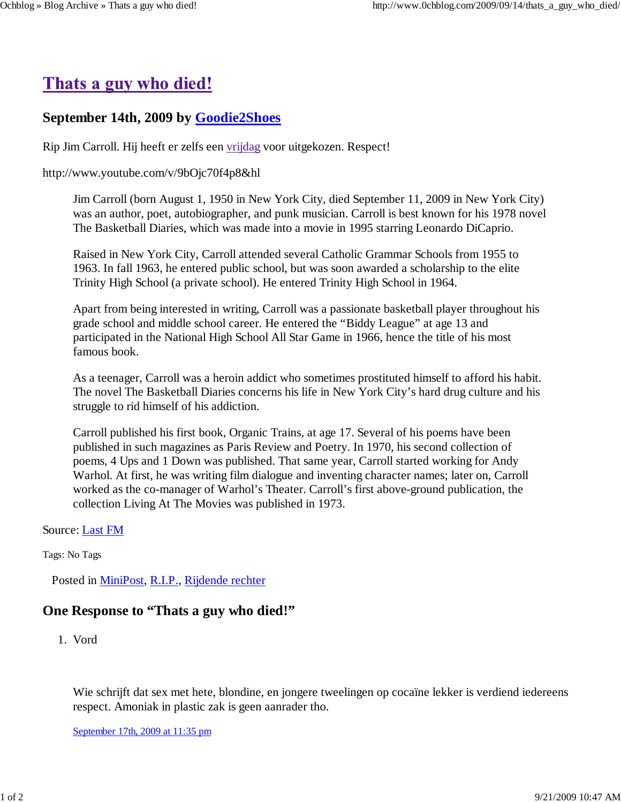# Thats a guy who died!

#### **September 14th, 2009 by Goodie2Shoes**

Rip Jim Carroll. Hij heeft er zelfs een vrijdag voor uitgekozen. Respect!

#### http://www.youtube.com/v/9bOjc70f4p8&hl

Jim Carroll (born August 1, 1950 in New York City, died September 11, 2009 in New York City) was an author, poet, autobiographer, and punk musician. Carroll is best known for his 1978 novel The Basketball Diaries, which was made into a movie in 1995 starring Leonardo DiCaprio.

Raised in New York City, Carroll attended several Catholic Grammar Schools from 1955 to 1963. In fall 1963, he entered public school, but was soon awarded a scholarship to the elite Trinity High School (a private school). He entered Trinity High School in 1964.

Apart from being interested in writing, Carroll was a passionate basketball player throughout his grade school and middle school career. He entered the "Biddy League" at age 13 and participated in the National High School All Star Game in 1966, hence the title of his most famous book.

As a teenager, Carroll was a heroin addict who sometimes prostituted himself to afford his habit. The novel The Basketball Diaries concerns his life in New York City's hard drug culture and his struggle to rid himself of his addiction.

Carroll published his first book, Organic Trains, at age 17. Several of his poems have been published in such magazines as Paris Review and Poetry. In 1970, his second collection of poems, 4 Ups and 1 Down was published. That same year, Carroll started working for Andy Warhol. At first, he was writing film dialogue and inventing character names; later on, Carroll worked as the co-manager of Warhol's Theater. Carroll's first above-ground publication, the collection Living At The Movies was published in 1973.

Source: Last FM

Tags: No Tags

Posted in MiniPost, R.I.P., Rijdende rechter

#### **One Response to "Thats a guy who died!"**

Vord 1.

Wie schrijft dat sex met hete, blondine, en jongere tweelingen op cocaïne lekker is verdiend iedereens respect. Amoniak in plastic zak is geen aanrader tho.

September 17th, 2009 at 11:35 pm